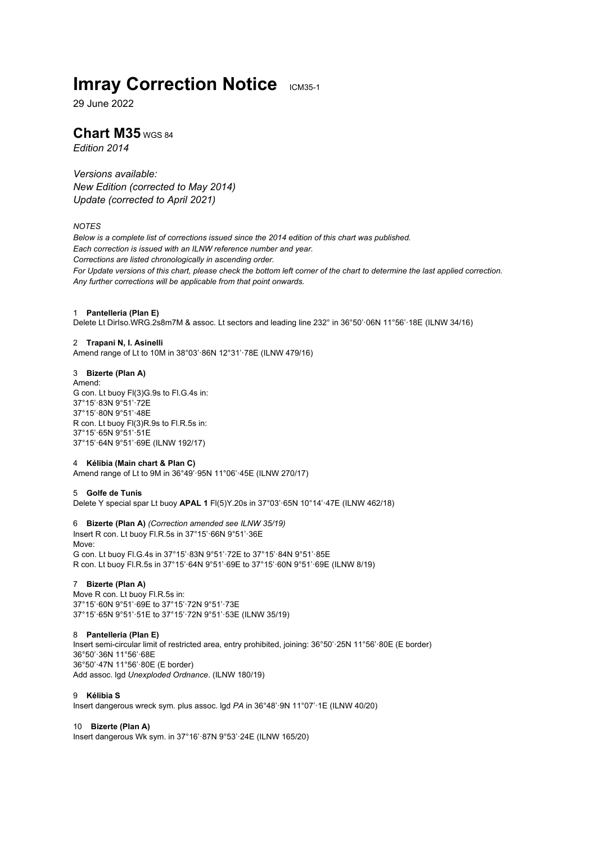# **Imray Correction Notice ICM35-1**

29 June 2022

# **Chart M35** WGS 84

*Edition 2014*

*Versions available: New Edition (corrected to May 2014) Update (corrected to April 2021)*

# *NOTES*

*Below is a complete list of corrections issued since the 2014 edition of this chart was published. Each correction is issued with an ILNW reference number and year. Corrections are listed chronologically in ascending order. For Update versions of this chart, please check the bottom left corner of the chart to determine the last applied correction. Any further corrections will be applicable from that point onwards.*

### 1 **Pantelleria (Plan E)**

Delete Lt DirIso.WRG.2s8m7M & assoc. Lt sectors and leading line 232° in 36°50'·06N 11°56'·18E (ILNW 34/16)

### 2 **Trapani N, I. Asinelli**

Amend range of Lt to 10M in 38°03'·86N 12°31'·78E (ILNW 479/16)

# 3 **Bizerte (Plan A)**

Amend: G con. Lt buoy Fl(3)G.9s to Fl.G.4s in: 37°15'·83N 9°51'·72E 37°15'·80N 9°51'·48E R con. Lt buoy Fl(3)R.9s to Fl.R.5s in: 37°15'·65N 9°51'·51E 37°15'·64N 9°51'·69E (ILNW 192/17)

### 4 **Kélibia (Main chart & Plan C)**

Amend range of Lt to 9M in 36°49'·95N 11°06'·45E (ILNW 270/17)

# 5 **Golfe de Tunis**

Delete Y special spar Lt buoy **APAL 1** Fl(5)Y.20s in 37°03'·65N 10°14'·47E (ILNW 462/18)

### 6 **Bizerte (Plan A)** *(Correction amended see ILNW 35/19)*

Insert R con. Lt buoy Fl.R.5s in 37°15'·66N 9°51'·36E Move: G con. Lt buoy Fl.G.4s in 37°15'·83N 9°51'·72E to 37°15'·84N 9°51'·85E R con. Lt buoy Fl.R.5s in 37°15'·64N 9°51'·69E to 37°15'·60N 9°51'·69E (ILNW 8/19)

# 7 **Bizerte (Plan A)**

Move R con. Lt buoy Fl.R.5s in: 37°15'·60N 9°51'·69E to 37°15'·72N 9°51'·73E 37°15'·65N 9°51'·51E to 37°15'·72N 9°51'·53E (ILNW 35/19)

# 8 **Pantelleria (Plan E)**

Insert semi-circular limit of restricted area, entry prohibited, joining: 36°50'·25N 11°56'·80E (E border) 36°50'·36N 11°56'·68E 36°50'·47N 11°56'·80E (E border) Add assoc. lgd *Unexploded Ordnance*. (ILNW 180/19)

# 9 **Kélibia S**

Insert dangerous wreck sym. plus assoc. lgd *PA* in 36°48'·9N 11°07'·1E (ILNW 40/20)

### 10 **Bizerte (Plan A)**

Insert dangerous Wk sym. in 37°16'·87N 9°53'·24E (ILNW 165/20)